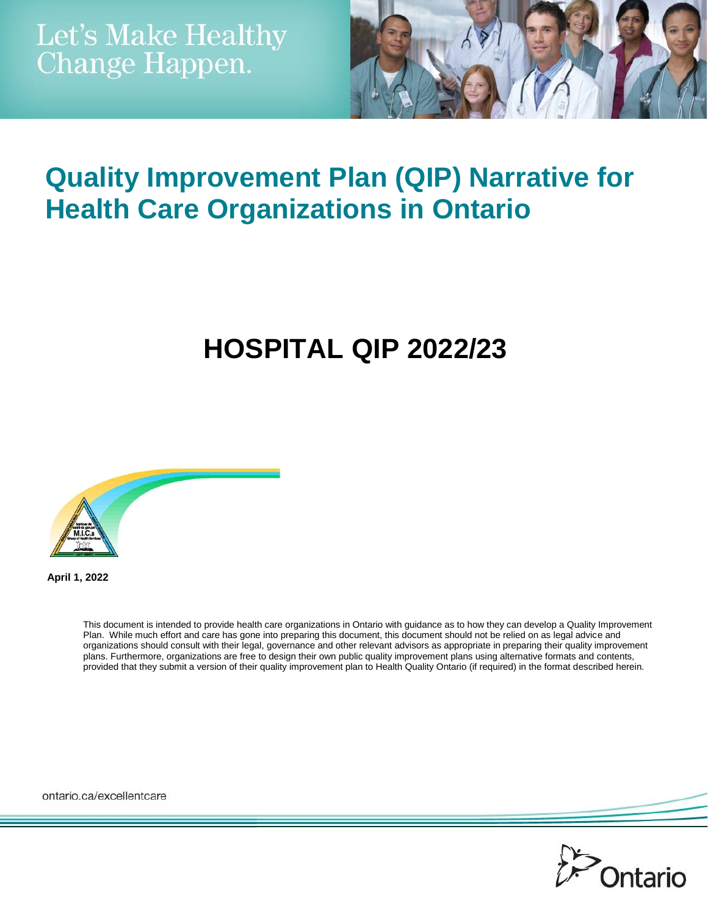

## **Quality Improvement Plan (QIP) Narrative for Health Care Organizations in Ontario**

# **HOSPITAL QIP 2022/23**



**April 1, 2022**

This document is intended to provide health care organizations in Ontario with guidance as to how they can develop a Quality Improvement Plan. While much effort and care has gone into preparing this document, this document should not be relied on as legal advice and organizations should consult with their legal, governance and other relevant advisors as appropriate in preparing their quality improvement plans. Furthermore, organizations are free to design their own public quality improvement plans using alternative formats and contents, provided that they submit a version of their quality improvement plan to Health Quality Ontario (if required) in the format described herein.

ontario.ca/excellentcare

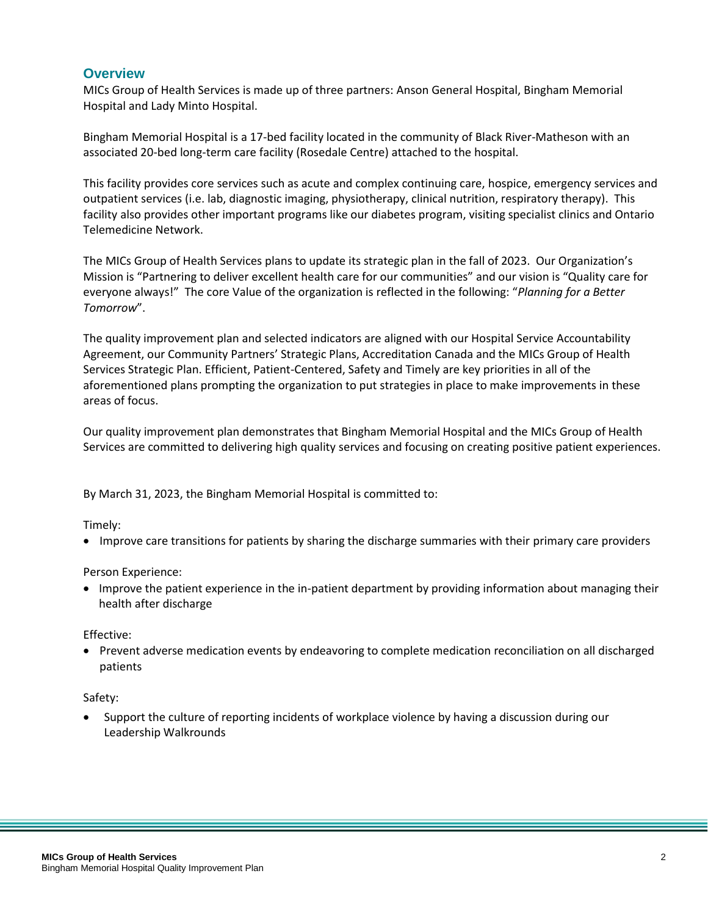#### **Overview**

MICs Group of Health Services is made up of three partners: Anson General Hospital, Bingham Memorial Hospital and Lady Minto Hospital.

Bingham Memorial Hospital is a 17-bed facility located in the community of Black River-Matheson with an associated 20-bed long-term care facility (Rosedale Centre) attached to the hospital.

This facility provides core services such as acute and complex continuing care, hospice, emergency services and outpatient services (i.e. lab, diagnostic imaging, physiotherapy, clinical nutrition, respiratory therapy). This facility also provides other important programs like our diabetes program, visiting specialist clinics and Ontario Telemedicine Network.

The MICs Group of Health Services plans to update its strategic plan in the fall of 2023. Our Organization's Mission is "Partnering to deliver excellent health care for our communities" and our vision is "Quality care for everyone always!" The core Value of the organization is reflected in the following: "*Planning for a Better Tomorrow*".

The quality improvement plan and selected indicators are aligned with our Hospital Service Accountability Agreement, our Community Partners' Strategic Plans, Accreditation Canada and the MICs Group of Health Services Strategic Plan. Efficient, Patient-Centered, Safety and Timely are key priorities in all of the aforementioned plans prompting the organization to put strategies in place to make improvements in these areas of focus.

Our quality improvement plan demonstrates that Bingham Memorial Hospital and the MICs Group of Health Services are committed to delivering high quality services and focusing on creating positive patient experiences.

By March 31, 2023, the Bingham Memorial Hospital is committed to:

Timely:

Improve care transitions for patients by sharing the discharge summaries with their primary care providers

Person Experience:

 Improve the patient experience in the in-patient department by providing information about managing their health after discharge

Effective:

 Prevent adverse medication events by endeavoring to complete medication reconciliation on all discharged patients

Safety:

 Support the culture of reporting incidents of workplace violence by having a discussion during our Leadership Walkrounds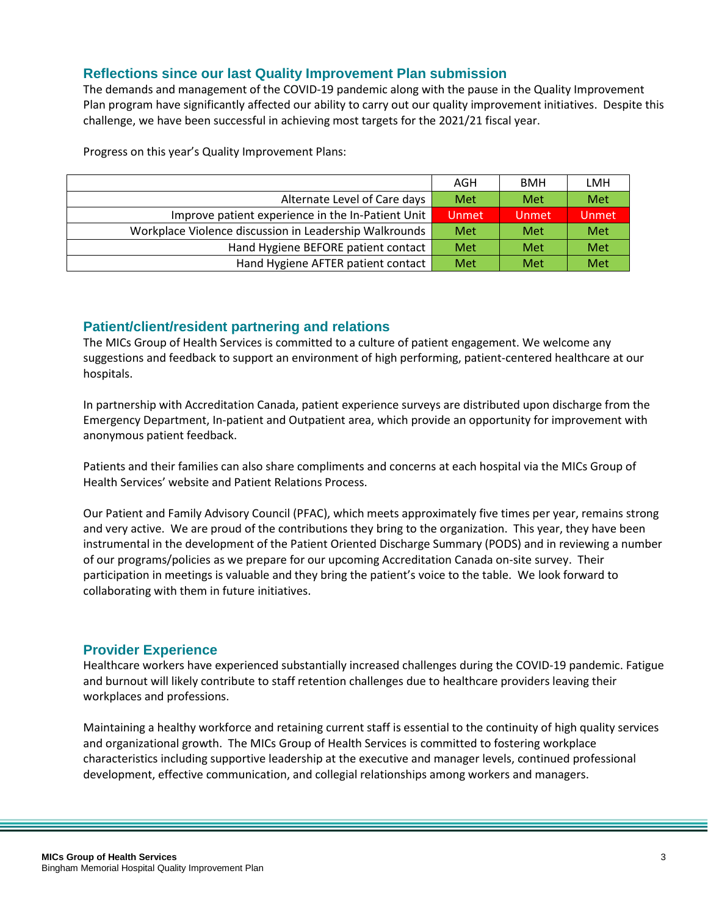#### **Reflections since our last Quality Improvement Plan submission**

The demands and management of the COVID-19 pandemic along with the pause in the Quality Improvement Plan program have significantly affected our ability to carry out our quality improvement initiatives. Despite this challenge, we have been successful in achieving most targets for the 2021/21 fiscal year.

Progress on this year's Quality Improvement Plans:

|                                                        | AGH          | <b>BMH</b> | LMH   |
|--------------------------------------------------------|--------------|------------|-------|
| Alternate Level of Care days                           | Met          | Met        | Met   |
| Improve patient experience in the In-Patient Unit      | <b>Unmet</b> | Unmet      | Unmet |
| Workplace Violence discussion in Leadership Walkrounds | Met          | Met        | Met   |
| Hand Hygiene BEFORE patient contact                    | Met          | Met        | Met   |
| Hand Hygiene AFTER patient contact                     | Met          | Met        | Met   |

#### **Patient/client/resident partnering and relations**

The MICs Group of Health Services is committed to a culture of patient engagement. We welcome any suggestions and feedback to support an environment of high performing, patient-centered healthcare at our hospitals.

In partnership with Accreditation Canada, patient experience surveys are distributed upon discharge from the Emergency Department, In-patient and Outpatient area, which provide an opportunity for improvement with anonymous patient feedback.

Patients and their families can also share compliments and concerns at each hospital via the MICs Group of Health Services' website and Patient Relations Process.

Our Patient and Family Advisory Council (PFAC), which meets approximately five times per year, remains strong and very active. We are proud of the contributions they bring to the organization. This year, they have been instrumental in the development of the Patient Oriented Discharge Summary (PODS) and in reviewing a number of our programs/policies as we prepare for our upcoming Accreditation Canada on-site survey. Their participation in meetings is valuable and they bring the patient's voice to the table. We look forward to collaborating with them in future initiatives.

#### **Provider Experience**

Healthcare workers have experienced substantially increased challenges during the COVID-19 pandemic. Fatigue and burnout will likely contribute to staff retention challenges due to healthcare providers leaving their workplaces and professions.

Maintaining a healthy workforce and retaining current staff is essential to the continuity of high quality services and organizational growth. The MICs Group of Health Services is committed to fostering workplace characteristics including supportive leadership at the executive and manager levels, continued professional development, effective communication, and collegial relationships among workers and managers.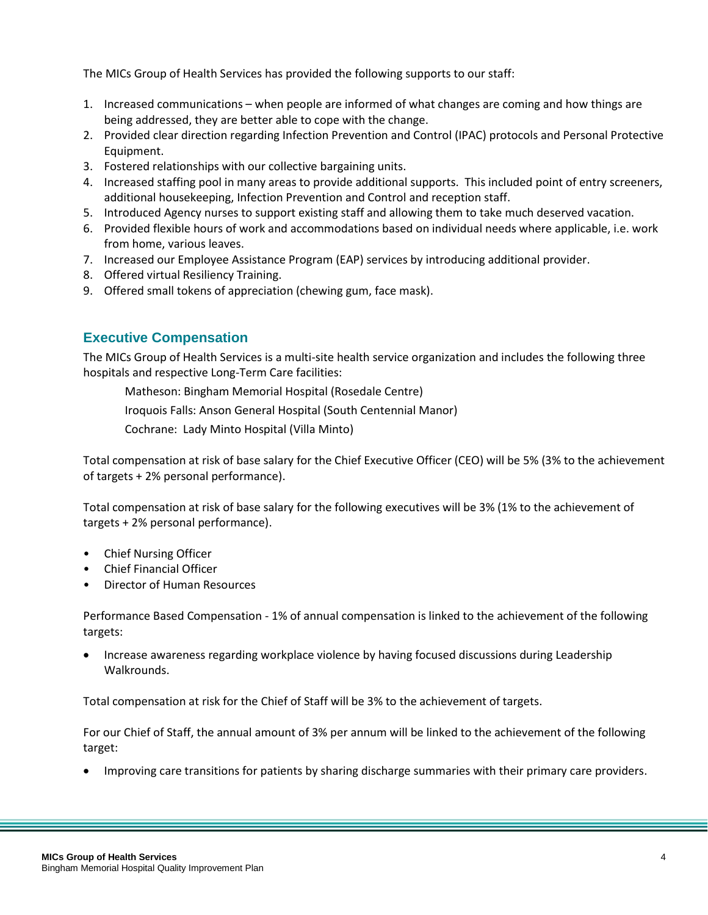The MICs Group of Health Services has provided the following supports to our staff:

- 1. Increased communications when people are informed of what changes are coming and how things are being addressed, they are better able to cope with the change.
- 2. Provided clear direction regarding Infection Prevention and Control (IPAC) protocols and Personal Protective Equipment.
- 3. Fostered relationships with our collective bargaining units.
- 4. Increased staffing pool in many areas to provide additional supports. This included point of entry screeners, additional housekeeping, Infection Prevention and Control and reception staff.
- 5. Introduced Agency nurses to support existing staff and allowing them to take much deserved vacation.
- 6. Provided flexible hours of work and accommodations based on individual needs where applicable, i.e. work from home, various leaves.
- 7. Increased our Employee Assistance Program (EAP) services by introducing additional provider.
- 8. Offered virtual Resiliency Training.
- 9. Offered small tokens of appreciation (chewing gum, face mask).

#### **Executive Compensation**

The MICs Group of Health Services is a multi-site health service organization and includes the following three hospitals and respective Long-Term Care facilities:

Matheson: Bingham Memorial Hospital (Rosedale Centre)

Iroquois Falls: Anson General Hospital (South Centennial Manor)

Cochrane: Lady Minto Hospital (Villa Minto)

Total compensation at risk of base salary for the Chief Executive Officer (CEO) will be 5% (3% to the achievement of targets + 2% personal performance).

Total compensation at risk of base salary for the following executives will be 3% (1% to the achievement of targets + 2% personal performance).

- Chief Nursing Officer
- Chief Financial Officer
- Director of Human Resources

Performance Based Compensation - 1% of annual compensation is linked to the achievement of the following targets:

 Increase awareness regarding workplace violence by having focused discussions during Leadership Walkrounds.

Total compensation at risk for the Chief of Staff will be 3% to the achievement of targets.

For our Chief of Staff, the annual amount of 3% per annum will be linked to the achievement of the following target:

Improving care transitions for patients by sharing discharge summaries with their primary care providers.